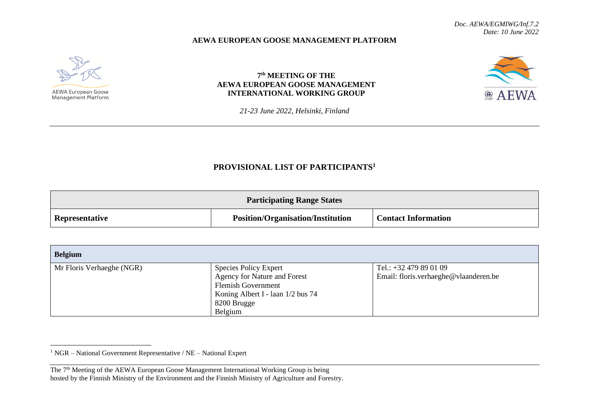## **AEWA EUROPEAN GOOSE MANAGEMENT PLATFORM**



**Management Platform** 

## **7 th MEETING OF THE AEWA EUROPEAN GOOSE MANAGEMENT INTERNATIONAL WORKING GROUP**



*21-23 June 2022, Helsinki, Finland*

## **PROVISIONAL LIST OF PARTICIPANTS<sup>1</sup>**

| <b>Participating Range States</b> |                                          |                            |
|-----------------------------------|------------------------------------------|----------------------------|
| <b>Representative</b>             | <b>Position/Organisation/Institution</b> | <b>Contact Information</b> |

| <b>Belgium</b>            |                                   |                                       |
|---------------------------|-----------------------------------|---------------------------------------|
| Mr Floris Verhaeghe (NGR) | <b>Species Policy Expert</b>      | Tel.: $+32\,479\,89\,01\,09$          |
|                           | Agency for Nature and Forest      | Email: floris.verhaeghe@vlaanderen.be |
|                           | <b>Flemish Government</b>         |                                       |
|                           | Koning Albert I - laan 1/2 bus 74 |                                       |
|                           | 8200 Brugge                       |                                       |
|                           | Belgium                           |                                       |

<sup>1</sup> NGR – National Government Representative / NE – National Expert

The 7<sup>th</sup> Meeting of the AEWA European Goose Management International Working Group is being hosted by the Finnish Ministry of the Environment and the Finnish Ministry of Agriculture and Forestry.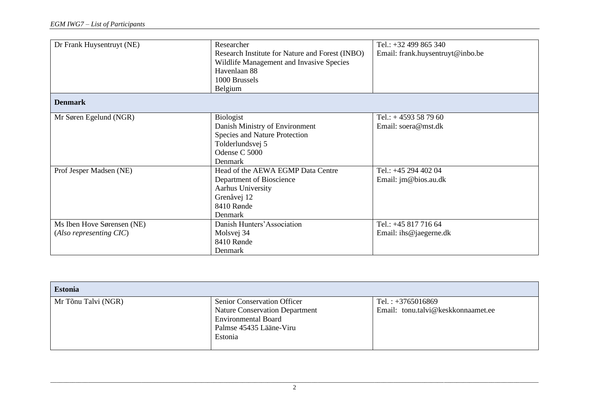| Dr Frank Huysentruyt (NE)                             | Researcher<br>Research Institute for Nature and Forest (INBO)<br>Wildlife Management and Invasive Species<br>Havenlaan 88<br>1000 Brussels<br>Belgium | Tel.: $+32499865340$<br>Email: frank.huysentruyt@inbo.be |
|-------------------------------------------------------|-------------------------------------------------------------------------------------------------------------------------------------------------------|----------------------------------------------------------|
| <b>Denmark</b>                                        |                                                                                                                                                       |                                                          |
| Mr Søren Egelund (NGR)                                | Biologist<br>Danish Ministry of Environment<br>Species and Nature Protection<br>Tolderlundsvej 5<br>Odense C 5000<br>Denmark                          | Tel.: $+4593587960$<br>Email: soera@mst.dk               |
| Prof Jesper Madsen (NE)                               | Head of the AEWA EGMP Data Centre<br>Department of Bioscience<br>Aarhus University<br>Grenåvej 12<br>8410 Rønde<br>Denmark                            | Tel.: +45 294 402 04<br>Email: jm@bios.au.dk             |
| Ms Iben Hove Sørensen (NE)<br>(Also representing CIC) | Danish Hunters' Association<br>Molsvej 34<br>8410 Rønde<br>Denmark                                                                                    | Tel.: +45 817 716 64<br>Email: ihs@jaegerne.dk           |

| <b>Estonia</b>      |                                                                     |                                    |
|---------------------|---------------------------------------------------------------------|------------------------------------|
| Mr Tõnu Talvi (NGR) | <b>Senior Conservation Officer</b>                                  | Tel.: $+3765016869$                |
|                     | <b>Nature Conservation Department</b><br><b>Environmental Board</b> | Email: tonu.talvi@keskkonnaamet.ee |
|                     | Palmse 45435 Lääne-Viru                                             |                                    |
|                     | Estonia                                                             |                                    |
|                     |                                                                     |                                    |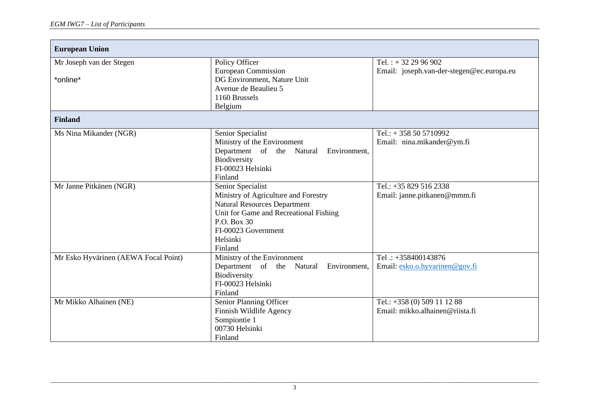| <b>European Union</b>                |                                           |                                           |
|--------------------------------------|-------------------------------------------|-------------------------------------------|
|                                      |                                           |                                           |
| Mr Joseph van der Stegen             | Policy Officer                            | Tel.: $+322996902$                        |
|                                      | <b>European Commission</b>                | Email: joseph.van-der-stegen@ec.europa.eu |
| *online*                             | DG Environment, Nature Unit               |                                           |
|                                      | Avenue de Beaulieu 5                      |                                           |
|                                      | 1160 Brussels                             |                                           |
|                                      | Belgium                                   |                                           |
| <b>Finland</b>                       |                                           |                                           |
|                                      |                                           |                                           |
| Ms Nina Mikander (NGR)               | Senior Specialist                         | Tel.: $+358505710992$                     |
|                                      | Ministry of the Environment               | Email: nina.mikander@ym.fi                |
|                                      | Department of the Natural<br>Environment, |                                           |
|                                      | Biodiversity                              |                                           |
|                                      | FI-00023 Helsinki                         |                                           |
|                                      | Finland                                   |                                           |
| Mr Janne Pitkänen (NGR)              | Senior Specialist                         | Tel.: +35 829 516 2338                    |
|                                      | Ministry of Agriculture and Forestry      | Email: janne.pitkanen@mmm.fi              |
|                                      | <b>Natural Resources Department</b>       |                                           |
|                                      | Unit for Game and Recreational Fishing    |                                           |
|                                      | P.O. Box 30                               |                                           |
|                                      | FI-00023 Government                       |                                           |
|                                      | Helsinki                                  |                                           |
|                                      | Finland                                   |                                           |
| Mr Esko Hyvärinen (AEWA Focal Point) | Ministry of the Environment               | Tel $\therefore$ +358400143876            |
|                                      | Department of the Natural<br>Environment, | Email: esko.o.hyvarinen@gov.fi            |
|                                      | Biodiversity                              |                                           |
|                                      | FI-00023 Helsinki                         |                                           |
|                                      | Finland                                   |                                           |
| Mr Mikko Alhainen (NE)               | Senior Planning Officer                   | Tel.: +358 (0) 509 11 12 88               |
|                                      | Finnish Wildlife Agency                   | Email: mikko.alhainen@riista.fi           |
|                                      | Sompiontie 1                              |                                           |
|                                      | 00730 Helsinki                            |                                           |
|                                      | Finland                                   |                                           |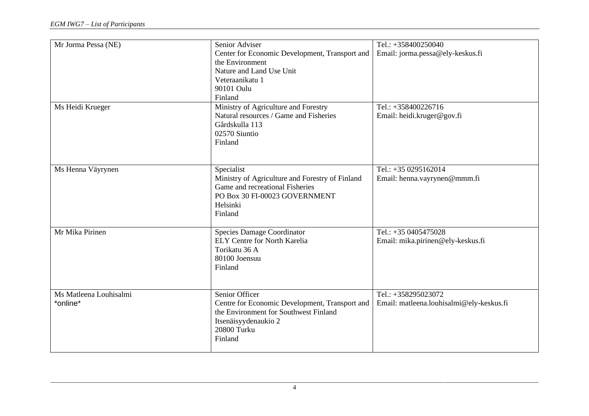| Mr Jorma Pessa (NE)                | Senior Adviser<br>Center for Economic Development, Transport and<br>the Environment<br>Nature and Land Use Unit<br>Veteraanikatu 1<br>90101 Oulu<br>Finland | Tel.: +358400250040<br>Email: jorma.pessa@ely-keskus.fi         |
|------------------------------------|-------------------------------------------------------------------------------------------------------------------------------------------------------------|-----------------------------------------------------------------|
| Ms Heidi Krueger                   | Ministry of Agriculture and Forestry<br>Natural resources / Game and Fisheries<br>Gårdskulla 113<br>02570 Siuntio<br>Finland                                | Tel.: +358400226716<br>Email: heidi.kruger@gov.fi               |
| Ms Henna Väyrynen                  | Specialist<br>Ministry of Agriculture and Forestry of Finland<br>Game and recreational Fisheries<br>PO Box 30 FI-00023 GOVERNMENT<br>Helsinki<br>Finland    | Tel.: +35 0295162014<br>Email: henna.vayrynen@mmm.fi            |
| Mr Mika Pirinen                    | <b>Species Damage Coordinator</b><br><b>ELY Centre for North Karelia</b><br>Torikatu 36 A<br>80100 Joensuu<br>Finland                                       | Tel.: +35 0405475028<br>Email: mika.pirinen@ely-keskus.fi       |
| Ms Matleena Louhisalmi<br>*online* | Senior Officer<br>Centre for Economic Development, Transport and<br>the Environment for Southwest Finland<br>Itsenäisyydenaukio 2<br>20800 Turku<br>Finland | Tel.: +358295023072<br>Email: matleena.louhisalmi@ely-keskus.fi |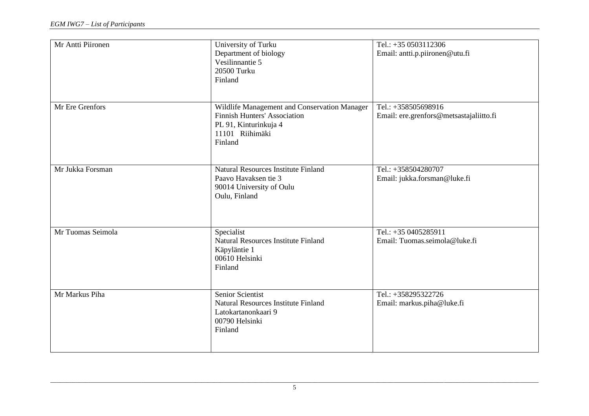| Mr Antti Piironen | University of Turku<br>Department of biology<br>Vesilinnantie 5<br>20500 Turku<br>Finland                                                  | Tel.: +35 0503112306<br>Email: antti.p.piironen@utu.fi         |
|-------------------|--------------------------------------------------------------------------------------------------------------------------------------------|----------------------------------------------------------------|
| Mr Ere Grenfors   | Wildlife Management and Conservation Manager<br><b>Finnish Hunters' Association</b><br>PL 91, Kinturinkuja 4<br>11101 Riihimäki<br>Finland | Tel.: +358505698916<br>Email: ere.grenfors@metsastajaliitto.fi |
| Mr Jukka Forsman  | <b>Natural Resources Institute Finland</b><br>Paavo Havaksen tie 3<br>90014 University of Oulu<br>Oulu, Finland                            | Tel.: +358504280707<br>Email: jukka.forsman@luke.fi            |
| Mr Tuomas Seimola | Specialist<br><b>Natural Resources Institute Finland</b><br>Käpyläntie 1<br>00610 Helsinki<br>Finland                                      | Tel.: +35 0405285911<br>Email: Tuomas.seimola@luke.fi          |
| Mr Markus Piha    | Senior Scientist<br><b>Natural Resources Institute Finland</b><br>Latokartanonkaari 9<br>00790 Helsinki<br>Finland                         | Tel.: +358295322726<br>Email: markus.piha@luke.fi              |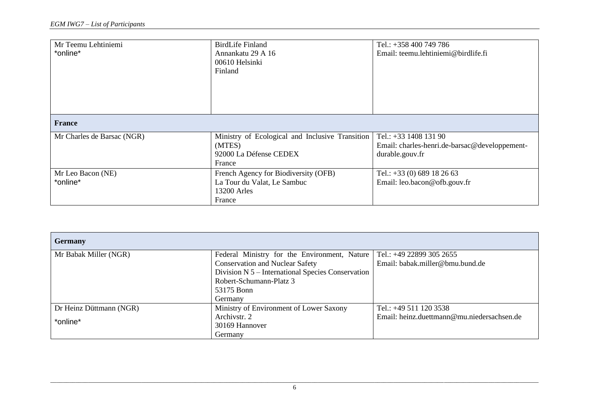| Mr Teemu Lehtiniemi<br>*online* | <b>BirdLife Finland</b><br>Annankatu 29 A 16<br>00610 Helsinki<br>Finland                     | Tel.: +358 400 749 786<br>Email: teemu.lehtiniemi@birdlife.fi                               |
|---------------------------------|-----------------------------------------------------------------------------------------------|---------------------------------------------------------------------------------------------|
| <b>France</b>                   |                                                                                               |                                                                                             |
| Mr Charles de Barsac (NGR)      | Ministry of Ecological and Inclusive Transition<br>(MTES)<br>92000 La Défense CEDEX<br>France | Tel.: $+33$ 1408 131 90<br>Email: charles-henri.de-barsac@developpement-<br>durable.gouv.fr |
| Mr Leo Bacon (NE)<br>*online*   | French Agency for Biodiversity (OFB)<br>La Tour du Valat, Le Sambuc<br>13200 Arles<br>France  | Tel.: $+33$ (0) 689 18 26 63<br>Email: leo.bacon@ofb.gouv.fr                                |

| <b>Germany</b>          |                                                                         |                                            |
|-------------------------|-------------------------------------------------------------------------|--------------------------------------------|
| Mr Babak Miller (NGR)   | Federal Ministry for the Environment, Nature   Tel.: +49 22899 305 2655 |                                            |
|                         | <b>Conservation and Nuclear Safety</b>                                  | Email: babak.miller@bmu.bund.de            |
|                         | Division N 5 - International Species Conservation                       |                                            |
|                         | Robert-Schumann-Platz 3                                                 |                                            |
|                         | 53175 Bonn                                                              |                                            |
|                         | Germany                                                                 |                                            |
| Dr Heinz Düttmann (NGR) | Ministry of Environment of Lower Saxony                                 | Tel.: $+495111203538$                      |
| *online*                | Archivstr. 2                                                            | Email: heinz.duettmann@mu.niedersachsen.de |
|                         | 30169 Hannover                                                          |                                            |
|                         | Germany                                                                 |                                            |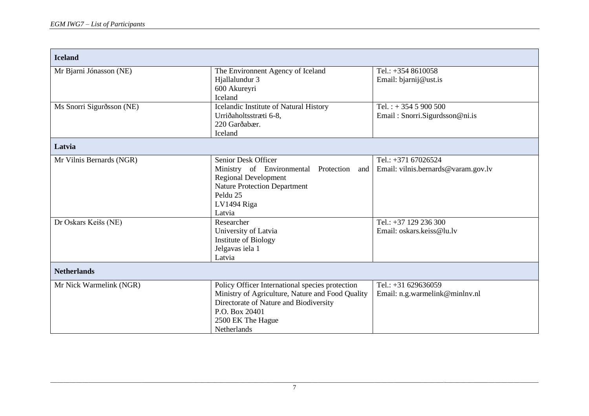| <b>Iceland</b>            |                                                                                                                                                                                                            |                                                            |
|---------------------------|------------------------------------------------------------------------------------------------------------------------------------------------------------------------------------------------------------|------------------------------------------------------------|
| Mr Bjarni Jónasson (NE)   | The Environment Agency of Iceland<br>Hjallalundur 3<br>600 Akureyri<br>Iceland                                                                                                                             | Tel.: $+3548610058$<br>Email: bjarnij@ust.is               |
| Ms Snorri Sigurðsson (NE) | Icelandic Institute of Natural History<br>Urriðaholtsstræti 6-8,<br>220 Garðabær.<br>Iceland                                                                                                               | Tel.: $+3545900500$<br>Email: Snorri.Sigurdsson@ni.is      |
| Latvia                    |                                                                                                                                                                                                            |                                                            |
| Mr Vilnis Bernards (NGR)  | Senior Desk Officer<br>Ministry of Environmental Protection<br>and<br><b>Regional Development</b><br><b>Nature Protection Department</b><br>Peldu 25<br>LV1494 Riga<br>Latvia                              | Tel.: +371 67026524<br>Email: vilnis.bernards@varam.gov.lv |
| Dr Oskars Keišs (NE)      | Researcher<br>University of Latvia<br>Institute of Biology<br>Jelgavas iela 1<br>Latvia                                                                                                                    | Tel.: +37 129 236 300<br>Email: oskars.keiss@lu.lv         |
| <b>Netherlands</b>        |                                                                                                                                                                                                            |                                                            |
| Mr Nick Warmelink (NGR)   | Policy Officer International species protection<br>Ministry of Agriculture, Nature and Food Quality<br>Directorate of Nature and Biodiversity<br>P.O. Box 20401<br>2500 EK The Hague<br><b>Netherlands</b> | Tel.: +31 629636059<br>Email: n.g.warmelink@minlnv.nl      |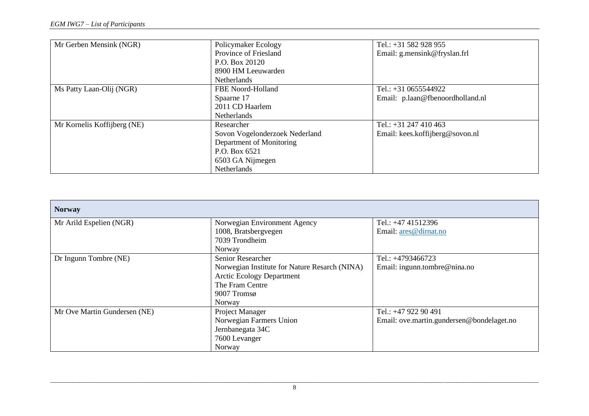| Mr Gerben Mensink (NGR)     | Policymaker Ecology            | Tel.: $+31$ 582 928 955          |
|-----------------------------|--------------------------------|----------------------------------|
|                             | Province of Friesland          | Email: g.mensink@fryslan.frl     |
|                             | P.O. Box 20120                 |                                  |
|                             | 8900 HM Leeuwarden             |                                  |
|                             | Netherlands                    |                                  |
| Ms Patty Laan-Olij (NGR)    | FBE Noord-Holland              | Tel.: $+310655544922$            |
|                             | Spaarne 17                     | Email: p.laan@fbenoordholland.nl |
|                             | 2011 CD Haarlem                |                                  |
|                             | <b>Netherlands</b>             |                                  |
| Mr Kornelis Koffijberg (NE) | Researcher                     | Tel.: $+31$ 247 410 463          |
|                             | Sovon Vogelonderzoek Nederland | Email: kees.koffijberg@sovon.nl  |
|                             | Department of Monitoring       |                                  |
|                             | P.O. Box 6521                  |                                  |
|                             | 6503 GA Nijmegen               |                                  |
|                             | Netherlands                    |                                  |

| <b>Norway</b>                |                                               |                                           |
|------------------------------|-----------------------------------------------|-------------------------------------------|
| Mr Arild Espelien (NGR)      | Norwegian Environment Agency                  | Tel.: +47 41512396                        |
|                              | 1008, Bratsbergvegen                          | Email: ares@dirnat.no                     |
|                              | 7039 Trondheim                                |                                           |
|                              | Norway                                        |                                           |
| Dr Ingunn Tombre (NE)        | Senior Researcher                             | Tel.: +4793466723                         |
|                              | Norwegian Institute for Nature Resarch (NINA) | Email: ingunn.tombre@nina.no              |
|                              | <b>Arctic Ecology Department</b>              |                                           |
|                              | The Fram Centre                               |                                           |
|                              | 9007 Tromsø                                   |                                           |
|                              | Norway                                        |                                           |
| Mr Ove Martin Gundersen (NE) | Project Manager                               | Tel.: +47 922 90 491                      |
|                              | Norwegian Farmers Union                       | Email: ove.martin.gundersen@bondelaget.no |
|                              | Jernbanegata 34C                              |                                           |
|                              | 7600 Levanger                                 |                                           |
|                              | Norway                                        |                                           |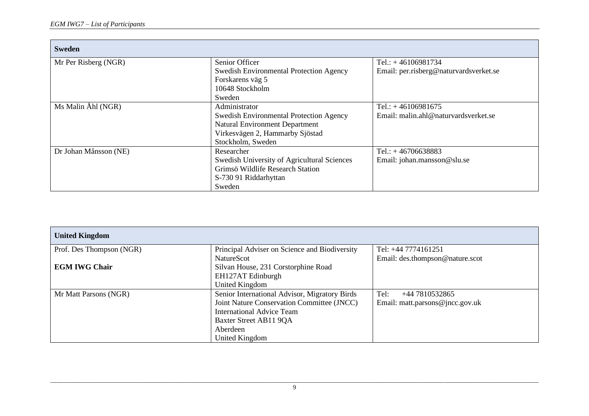| <b>Sweden</b>         |                                                |                                        |
|-----------------------|------------------------------------------------|----------------------------------------|
| Mr Per Risberg (NGR)  | Senior Officer                                 | Tel.: $+46106981734$                   |
|                       | <b>Swedish Environmental Protection Agency</b> | Email: per.risberg@naturvardsverket.se |
|                       | Forskarens väg 5                               |                                        |
|                       | 10648 Stockholm                                |                                        |
|                       | Sweden                                         |                                        |
| Ms Malin Åhl (NGR)    | Administrator                                  | Tel.: $+46106981675$                   |
|                       | Swedish Environmental Protection Agency        | Email: malin.ahl@naturvardsverket.se   |
|                       | <b>Natural Environment Department</b>          |                                        |
|                       | Virkesvägen 2, Hammarby Sjöstad                |                                        |
|                       | Stockholm, Sweden                              |                                        |
| Dr Johan Månsson (NE) | Researcher                                     | Tel.: $+46706638883$                   |
|                       | Swedish University of Agricultural Sciences    | Email: johan.mansson@slu.se            |
|                       | Grimsö Wildlife Research Station               |                                        |
|                       | S-730 91 Riddarhyttan                          |                                        |
|                       | Sweden                                         |                                        |

| <b>United Kingdom</b>    |                                               |                                 |
|--------------------------|-----------------------------------------------|---------------------------------|
| Prof. Des Thompson (NGR) | Principal Adviser on Science and Biodiversity | Tel: +44 7774161251             |
|                          | NatureScot                                    | Email: des.thompson@nature.scot |
| <b>EGM IWG Chair</b>     | Silvan House, 231 Corstorphine Road           |                                 |
|                          | EH127AT Edinburgh                             |                                 |
|                          | United Kingdom                                |                                 |
| Mr Matt Parsons (NGR)    | Senior International Advisor, Migratory Birds | Tel:<br>+44 7810532865          |
|                          | Joint Nature Conservation Committee (JNCC)    | Email: matt.parsons@jncc.gov.uk |
|                          | <b>International Advice Team</b>              |                                 |
|                          | Baxter Street AB11 9QA                        |                                 |
|                          | Aberdeen                                      |                                 |
|                          | United Kingdom                                |                                 |

\_\_\_\_\_\_\_\_\_\_\_\_\_\_\_\_\_\_\_\_\_\_\_\_\_\_\_\_\_\_\_\_\_\_\_\_\_\_\_\_\_\_\_\_\_\_\_\_\_\_\_\_\_\_\_\_\_\_\_\_\_\_\_\_\_\_\_\_\_\_\_\_\_\_\_\_\_\_\_\_\_\_\_\_\_\_\_\_\_\_\_\_\_\_\_\_\_\_\_\_\_\_\_\_\_\_\_\_\_\_\_\_\_\_\_\_\_\_\_\_\_\_\_\_\_\_\_\_\_\_\_\_\_\_\_\_\_\_\_\_\_\_\_\_\_\_\_\_\_\_\_\_\_\_\_ 9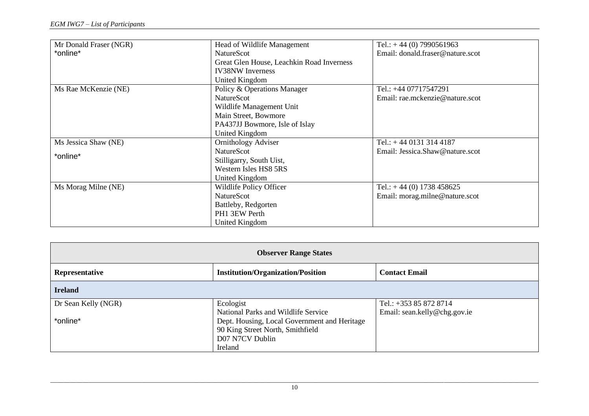| Mr Donald Fraser (NGR) | Head of Wildlife Management               | Tel.: $+44(0)$ 7990561963        |
|------------------------|-------------------------------------------|----------------------------------|
| *online*               | <b>NatureScot</b>                         | Email: donald.fraser@nature.scot |
|                        | Great Glen House, Leachkin Road Inverness |                                  |
|                        | <b>IV38NW</b> Inverness                   |                                  |
|                        | United Kingdom                            |                                  |
| Ms Rae McKenzie (NE)   | Policy & Operations Manager               | Tel.: +44 07717547291            |
|                        | <b>NatureScot</b>                         | Email: rae.mckenzie@nature.scot  |
|                        | Wildlife Management Unit                  |                                  |
|                        | Main Street, Bowmore                      |                                  |
|                        | PA437JJ Bowmore, Isle of Islay            |                                  |
|                        | United Kingdom                            |                                  |
| Ms Jessica Shaw (NE)   | <b>Ornithology Adviser</b>                | Tel.: $+4401313144187$           |
| *online*               | <b>NatureScot</b>                         | Email: Jessica.Shaw@nature.scot  |
|                        | Stilligarry, South Uist,                  |                                  |
|                        | Western Isles HS8 5RS                     |                                  |
|                        | United Kingdom                            |                                  |
| Ms Morag Milne (NE)    | Wildlife Policy Officer                   | Tel.: $+44(0)$ 1738 458625       |
|                        | <b>NatureScot</b>                         | Email: morag.milne@nature.scot   |
|                        | Battleby, Redgorten                       |                                  |
|                        | PH1 3EW Perth                             |                                  |
|                        | United Kingdom                            |                                  |

| <b>Observer Range States</b> |                                              |                              |
|------------------------------|----------------------------------------------|------------------------------|
| Representative               | <b>Institution/Organization/Position</b>     | <b>Contact Email</b>         |
| <b>Ireland</b>               |                                              |                              |
| Dr Sean Kelly (NGR)          | Ecologist                                    | Tel.: +353 85 872 8714       |
|                              | National Parks and Wildlife Service          | Email: sean.kelly@chg.gov.ie |
| *online*                     | Dept. Housing, Local Government and Heritage |                              |
|                              | 90 King Street North, Smithfield             |                              |
|                              | D07 N7CV Dublin                              |                              |
|                              | Ireland                                      |                              |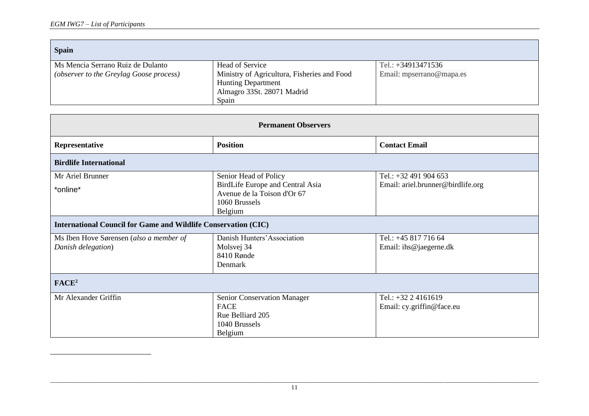| <b>Spain</b>                            |                                             |                          |
|-----------------------------------------|---------------------------------------------|--------------------------|
| Ms Mencia Serrano Ruiz de Dulanto       | Head of Service                             | Tel.: $+34913471536$     |
| (observer to the Greylag Goose process) | Ministry of Agricultura, Fisheries and Food | Email: mpserrano@mapa.es |
|                                         | <b>Hunting Department</b>                   |                          |
|                                         | Almagro 33St. 28071 Madrid                  |                          |
|                                         | Spain                                       |                          |

| <b>Permanent Observers</b>                                            |                                                                                            |                                                    |
|-----------------------------------------------------------------------|--------------------------------------------------------------------------------------------|----------------------------------------------------|
| Representative                                                        | <b>Position</b>                                                                            | <b>Contact Email</b>                               |
| <b>Birdlife International</b>                                         |                                                                                            |                                                    |
| Mr Ariel Brunner                                                      | Senior Head of Policy                                                                      | Tel.: +32 491 904 653                              |
| *online*                                                              | BirdLife Europe and Central Asia<br>Avenue de la Toison d'Or 67<br>1060 Brussels           | Email: ariel.brunner@birdlife.org                  |
| <b>International Council for Game and Wildlife Conservation (CIC)</b> | Belgium                                                                                    |                                                    |
| Ms Iben Hove Sørensen (also a member of<br>Danish delegation)         | Danish Hunters' Association<br>Molsvej 34<br>8410 Rønde<br>Denmark                         | Tel.: +45 817 716 64<br>Email: ihs@jaegerne.dk     |
| FACE <sup>2</sup>                                                     |                                                                                            |                                                    |
| Mr Alexander Griffin                                                  | Senior Conservation Manager<br><b>FACE</b><br>Rue Belliard 205<br>1040 Brussels<br>Belgium | Tel.: $+32$ 2 4161619<br>Email: cy.griffin@face.eu |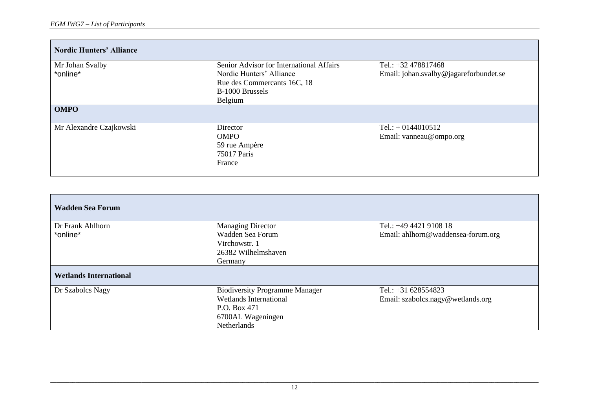| <b>Nordic Hunters' Alliance</b> |                                          |                                        |
|---------------------------------|------------------------------------------|----------------------------------------|
| Mr Johan Svalby                 | Senior Advisor for International Affairs | Tel.: $+32478817468$                   |
| *online*                        | Nordic Hunters' Alliance                 | Email: johan.svalby@jagareforbundet.se |
|                                 | Rue des Commercants 16C, 18              |                                        |
|                                 | B-1000 Brussels                          |                                        |
|                                 | Belgium                                  |                                        |
| <b>OMPO</b>                     |                                          |                                        |
| Mr Alexandre Czajkowski         | Director                                 | Tel.: $+ 0144010512$                   |
|                                 | <b>OMPO</b>                              | Email: vanneau@ompo.org                |
|                                 | 59 rue Ampère                            |                                        |
|                                 | 75017 Paris                              |                                        |
|                                 | France                                   |                                        |

| <b>Wadden Sea Forum</b>       |                                       |                                    |
|-------------------------------|---------------------------------------|------------------------------------|
| Dr Frank Ahlhorn              | <b>Managing Director</b>              | Tel.: +49 4421 9108 18             |
| *online*                      | Wadden Sea Forum                      | Email: ahlhorn@waddensea-forum.org |
|                               | Virchowstr. 1                         |                                    |
|                               | 26382 Wilhelmshaven                   |                                    |
|                               | Germany                               |                                    |
| <b>Wetlands International</b> |                                       |                                    |
| Dr Szabolcs Nagy              | <b>Biodiversity Programme Manager</b> | Tel.: $+31$ 628554823              |
|                               | <b>Wetlands International</b>         | Email: szabolcs.nagy@wetlands.org  |
|                               | P.O. Box 471                          |                                    |
|                               | 6700AL Wageningen                     |                                    |
|                               | Netherlands                           |                                    |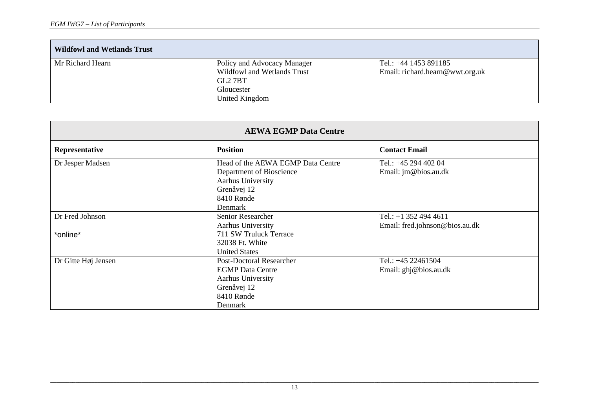| <b>Wildfowl and Wetlands Trust</b> |                                                                       |                                                            |
|------------------------------------|-----------------------------------------------------------------------|------------------------------------------------------------|
| Mr Richard Hearn                   | Policy and Advocacy Manager<br>Wildfowl and Wetlands Trust<br>GL2 7BT | Tel.: $+44$ 1453 891185<br>Email: richard.hearn@wwt.org.uk |
|                                    | Gloucester<br>United Kingdom                                          |                                                            |

| <b>AEWA EGMP Data Centre</b> |                                   |                                |
|------------------------------|-----------------------------------|--------------------------------|
| Representative               | <b>Position</b>                   | <b>Contact Email</b>           |
| Dr Jesper Madsen             | Head of the AEWA EGMP Data Centre | Tel.: $+45$ 294 402 04         |
|                              | Department of Bioscience          | Email: jm@bios.au.dk           |
|                              | Aarhus University                 |                                |
|                              | Grenåvej 12                       |                                |
|                              | 8410 Rønde                        |                                |
|                              | Denmark                           |                                |
| Dr Fred Johnson              | Senior Researcher                 | Tel.: +1 352 494 4611          |
|                              | Aarhus University                 | Email: fred.johnson@bios.au.dk |
| *online*                     | 711 SW Truluck Terrace            |                                |
|                              | 32038 Ft. White                   |                                |
|                              | <b>United States</b>              |                                |
| Dr Gitte Høj Jensen          | <b>Post-Doctoral Researcher</b>   | Tel.: $+45$ 22461504           |
|                              | <b>EGMP</b> Data Centre           | Email: ghj@bios.au.dk          |
|                              | Aarhus University                 |                                |
|                              | Grenåvej 12                       |                                |
|                              | 8410 Rønde                        |                                |
|                              | Denmark                           |                                |